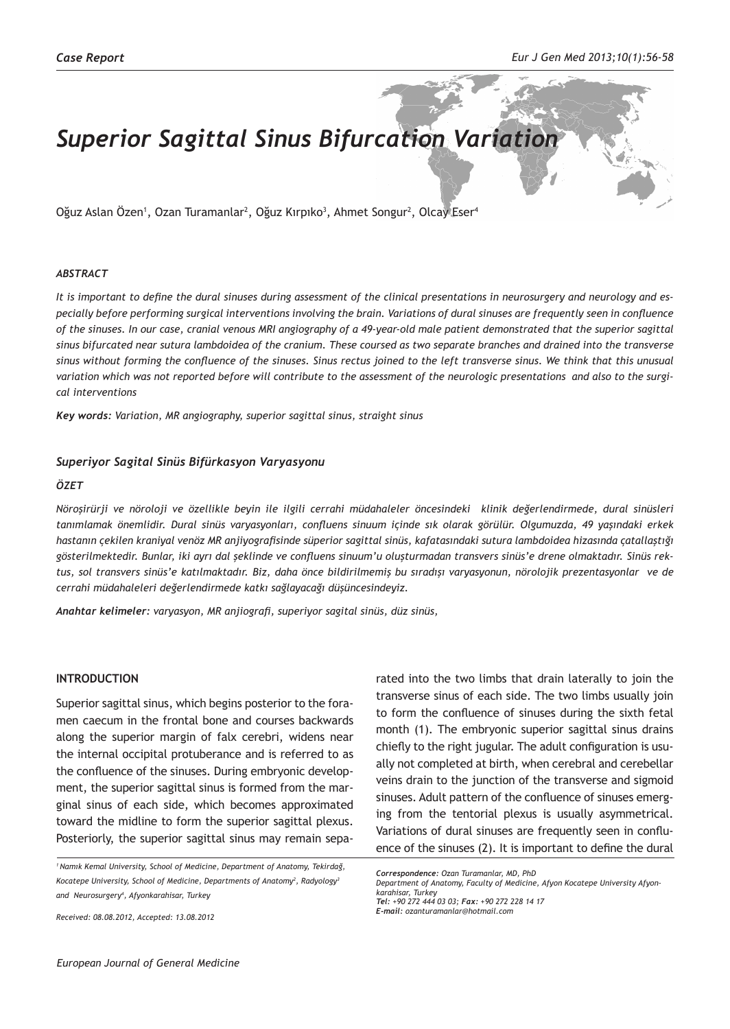# *Superior Sagittal Sinus Bifurcation Variation*

Oğuz Aslan Ozen<sup>1</sup>, Ozan Turamanlar<sup>2</sup>, Oğuz Kırpıko<sup>3</sup>, Ahmet Songur<sup>2</sup>, Olcay Eser<sup>4</sup>

## *ABSTRACT*

*It is important to define the dural sinuses during assessment of the clinical presentations in neurosurgery and neurology and especially before performing surgical interventions involving the brain. Variations of dural sinuses are frequently seen in confluence of the sinuses. In our case, cranial venous MRI angiography of a 49-year-old male patient demonstrated that the superior sagittal sinus bifurcated near sutura lambdoidea of the cranium. These coursed as two separate branches and drained into the transverse sinus without forming the confluence of the sinuses. Sinus rectus joined to the left transverse sinus. We think that this unusual variation which was not reported before will contribute to the assessment of the neurologic presentations and also to the surgical interventions*

*Key words: Variation, MR angiography, superior sagittal sinus, straight sinus*

## *Superiyor Sagital Sinüs Bifürkasyon Varyasyonu*

#### *ÖZET*

*Nöroşirürji ve nöroloji ve özellikle beyin ile ilgili cerrahi müdahaleler öncesindeki klinik değerlendirmede, dural sinüsleri tanımlamak önemlidir. Dural sinüs varyasyonları, confluens sinuum içinde sık olarak görülür. Olgumuzda, 49 yaşındaki erkek hastanın çekilen kraniyal venöz MR anjiyografisinde süperior sagittal sinüs, kafatasındaki sutura lambdoidea hizasında çatallaştığı gösterilmektedir. Bunlar, iki ayrı dal şeklinde ve confluens sinuum'u oluşturmadan transvers sinüs'e drene olmaktadır. Sinüs rektus, sol transvers sinüs'e katılmaktadır. Biz, daha önce bildirilmemiş bu sıradışı varyasyonun, nörolojik prezentasyonlar ve de cerrahi müdahaleleri değerlendirmede katkı sağlayacağı düşüncesindeyiz.* 

*Anahtar kelimeler: varyasyon, MR anjiografi, superiyor sagital sinüs, düz sinüs,* 

# **INTRODUCTION**

Superior sagittal sinus, which begins posterior to the foramen caecum in the frontal bone and courses backwards along the superior margin of falx cerebri, widens near the internal occipital protuberance and is referred to as the confluence of the sinuses. During embryonic development, the superior sagittal sinus is formed from the marginal sinus of each side, which becomes approximated toward the midline to form the superior sagittal plexus. Posteriorly, the superior sagittal sinus may remain sepa-

*Received: 08.08.2012, Accepted: 13.08.2012*

rated into the two limbs that drain laterally to join the transverse sinus of each side. The two limbs usually join to form the confluence of sinuses during the sixth fetal month (1). The embryonic superior sagittal sinus drains chiefly to the right jugular. The adult configuration is usually not completed at birth, when cerebral and cerebellar veins drain to the junction of the transverse and sigmoid sinuses. Adult pattern of the confluence of sinuses emerging from the tentorial plexus is usually asymmetrical. Variations of dural sinuses are frequently seen in confluence of the sinuses (2). It is important to define the dural

*E-mail: ozanturamanlar@hotmail.com*

*<sup>1</sup>Namık Kemal University, School of Medicine, Department of Anatomy, Tekirdağ, Kocatepe University, School of Medicine, Departments of Anatomy<sup>2</sup> , Radyology<sup>3</sup> and Neurosurgery4 , Afyonkarahisar, Turkey*

*Correspondence: Ozan Turamanlar, MD, PhD Department of Anatomy, Faculty of Medicine, Afyon Kocatepe University Afyonkarahisar, Turkey Tel: +90 272 444 03 03; Fax: +90 272 228 14 17*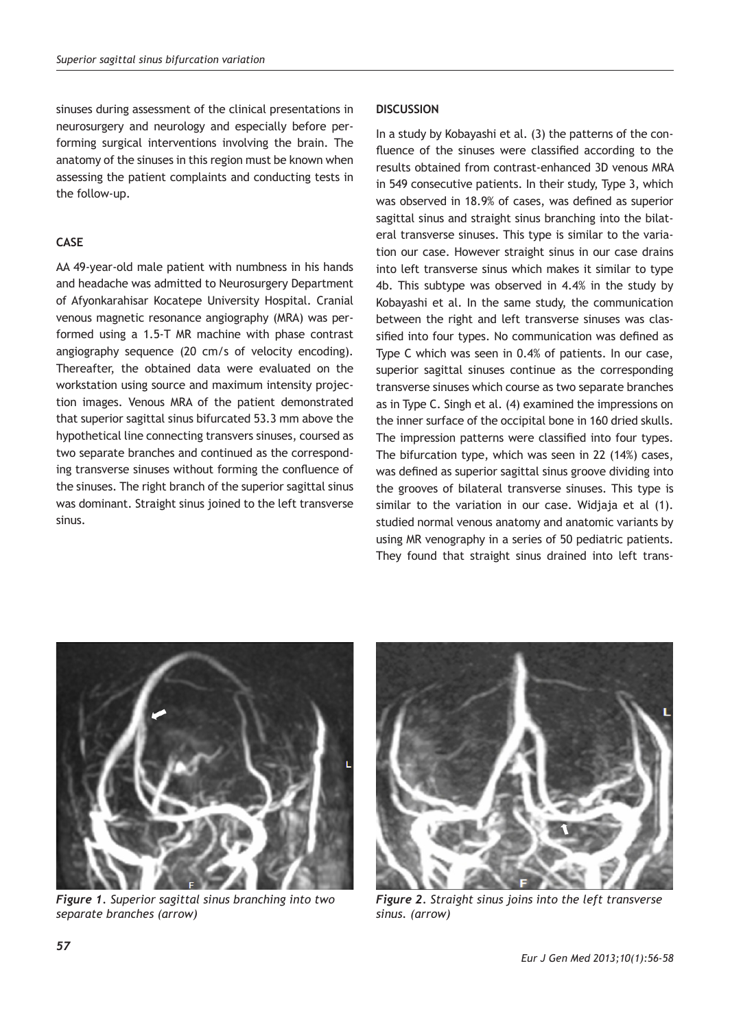sinuses during assessment of the clinical presentations in neurosurgery and neurology and especially before performing surgical interventions involving the brain. The anatomy of the sinuses in this region must be known when assessing the patient complaints and conducting tests in the follow-up.

# **CASE**

AA 49-year-old male patient with numbness in his hands and headache was admitted to Neurosurgery Department of Afyonkarahisar Kocatepe University Hospital. Cranial venous magnetic resonance angiography (MRA) was performed using a 1.5-T MR machine with phase contrast angiography sequence (20 cm/s of velocity encoding). Thereafter, the obtained data were evaluated on the workstation using source and maximum intensity projection images. Venous MRA of the patient demonstrated that superior sagittal sinus bifurcated 53.3 mm above the hypothetical line connecting transvers sinuses, coursed as two separate branches and continued as the corresponding transverse sinuses without forming the confluence of the sinuses. The right branch of the superior sagittal sinus was dominant. Straight sinus joined to the left transverse sinus.

# **DISCUSSION**

In a study by Kobayashi et al. (3) the patterns of the confluence of the sinuses were classified according to the results obtained from contrast-enhanced 3D venous MRA in 549 consecutive patients. In their study, Type 3, which was observed in 18.9% of cases, was defined as superior sagittal sinus and straight sinus branching into the bilateral transverse sinuses. This type is similar to the variation our case. However straight sinus in our case drains into left transverse sinus which makes it similar to type 4b. This subtype was observed in 4.4% in the study by Kobayashi et al. In the same study, the communication between the right and left transverse sinuses was classified into four types. No communication was defined as Type C which was seen in 0.4% of patients. In our case, superior sagittal sinuses continue as the corresponding transverse sinuses which course as two separate branches as in Type C. Singh et al. (4) examined the impressions on the inner surface of the occipital bone in 160 dried skulls. The impression patterns were classified into four types. The bifurcation type, which was seen in 22 (14%) cases, was defined as superior sagittal sinus groove dividing into the grooves of bilateral transverse sinuses. This type is similar to the variation in our case. Widjaja et al (1). studied normal venous anatomy and anatomic variants by using MR venography in a series of 50 pediatric patients. They found that straight sinus drained into left trans-



*Figure 1. Superior sagittal sinus branching into two separate branches (arrow)*



*Figure 2. Straight sinus joins into the left transverse sinus. (arrow)*